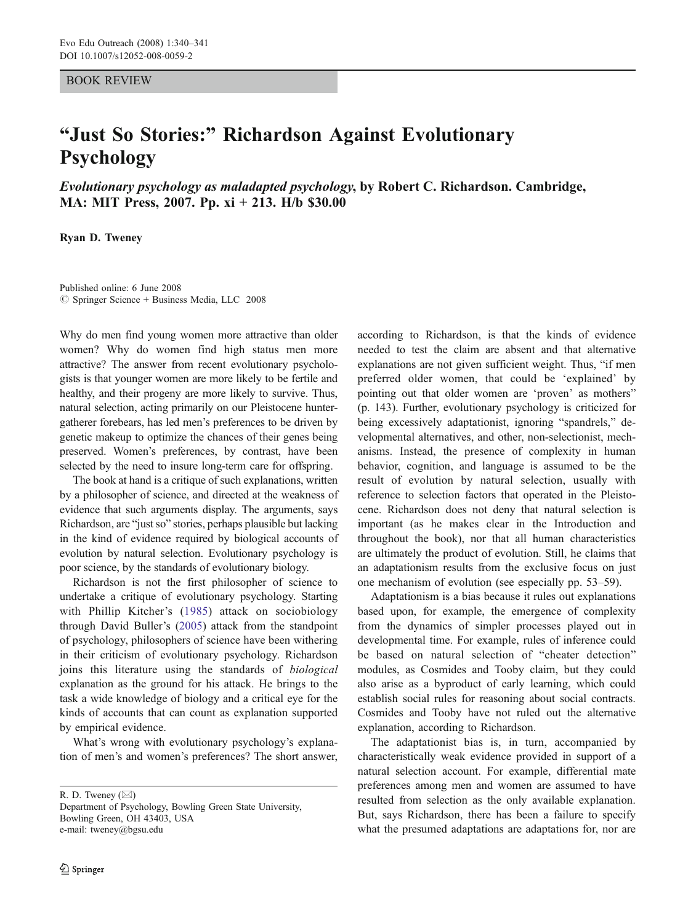## BOOK REVIEW

## "Just So Stories:" Richardson Against Evolutionary Psychology

Evolutionary psychology as maladapted psychology, by Robert C. Richardson. Cambridge, MA: MIT Press, 2007. Pp. xi + 213. H/b \$30.00

Ryan D. Tweney

Published online: 6 June 2008  $\circ$  Springer Science + Business Media, LLC 2008

Why do men find young women more attractive than older women? Why do women find high status men more attractive? The answer from recent evolutionary psychologists is that younger women are more likely to be fertile and healthy, and their progeny are more likely to survive. Thus, natural selection, acting primarily on our Pleistocene huntergatherer forebears, has led men's preferences to be driven by genetic makeup to optimize the chances of their genes being preserved. Women's preferences, by contrast, have been selected by the need to insure long-term care for offspring.

The book at hand is a critique of such explanations, written by a philosopher of science, and directed at the weakness of evidence that such arguments display. The arguments, says Richardson, are "just so" stories, perhaps plausible but lacking in the kind of evidence required by biological accounts of evolution by natural selection. Evolutionary psychology is poor science, by the standards of evolutionary biology.

Richardson is not the first philosopher of science to undertake a critique of evolutionary psychology. Starting with Phillip Kitcher's ([1985](#page-1-0)) attack on sociobiology through David Buller's [\(2005](#page-1-0)) attack from the standpoint of psychology, philosophers of science have been withering in their criticism of evolutionary psychology. Richardson joins this literature using the standards of biological explanation as the ground for his attack. He brings to the task a wide knowledge of biology and a critical eye for the kinds of accounts that can count as explanation supported by empirical evidence.

What's wrong with evolutionary psychology's explanation of men's and women's preferences? The short answer,

R. D. Tweney (*\**)

according to Richardson, is that the kinds of evidence needed to test the claim are absent and that alternative explanations are not given sufficient weight. Thus, "if men preferred older women, that could be 'explained' by pointing out that older women are 'proven' as mothers" (p. 143). Further, evolutionary psychology is criticized for being excessively adaptationist, ignoring "spandrels," developmental alternatives, and other, non-selectionist, mechanisms. Instead, the presence of complexity in human behavior, cognition, and language is assumed to be the result of evolution by natural selection, usually with reference to selection factors that operated in the Pleistocene. Richardson does not deny that natural selection is important (as he makes clear in the Introduction and throughout the book), nor that all human characteristics are ultimately the product of evolution. Still, he claims that an adaptationism results from the exclusive focus on just one mechanism of evolution (see especially pp. 53–59).

Adaptationism is a bias because it rules out explanations based upon, for example, the emergence of complexity from the dynamics of simpler processes played out in developmental time. For example, rules of inference could be based on natural selection of "cheater detection" modules, as Cosmides and Tooby claim, but they could also arise as a byproduct of early learning, which could establish social rules for reasoning about social contracts. Cosmides and Tooby have not ruled out the alternative explanation, according to Richardson.

The adaptationist bias is, in turn, accompanied by characteristically weak evidence provided in support of a natural selection account. For example, differential mate preferences among men and women are assumed to have resulted from selection as the only available explanation. But, says Richardson, there has been a failure to specify what the presumed adaptations are adaptations for, nor are

Department of Psychology, Bowling Green State University, Bowling Green, OH 43403, USA e-mail: tweney@bgsu.edu